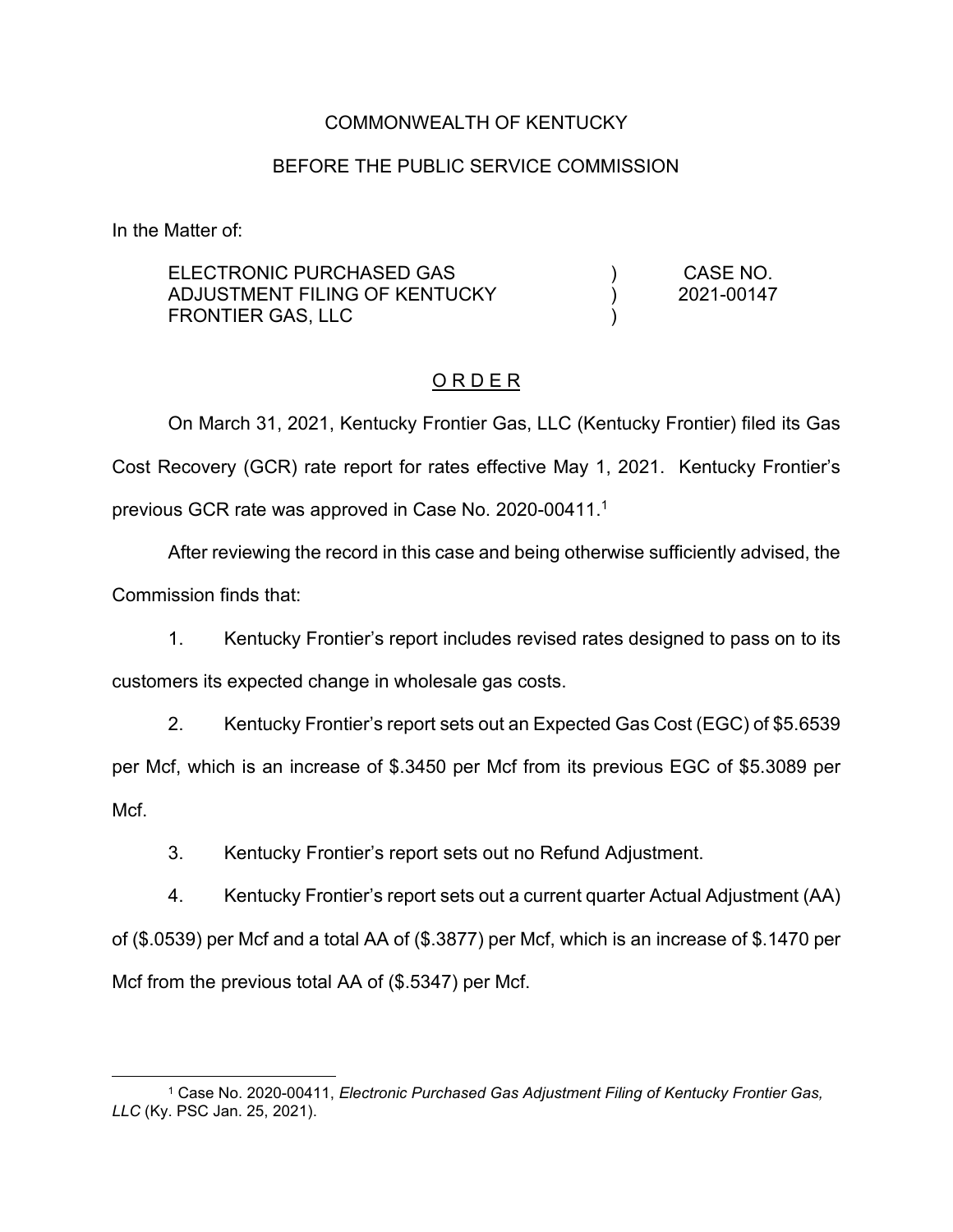## COMMONWEALTH OF KENTUCKY

# BEFORE THE PUBLIC SERVICE COMMISSION

In the Matter of:

| ELECTRONIC PURCHASED GAS<br>ADJUSTMENT FILING OF KENTUCKY<br>FRONTIER GAS, LLC |  | CASE NO.<br>2021-00147 |
|--------------------------------------------------------------------------------|--|------------------------|
|                                                                                |  |                        |

## O R D E R

On March 31, 2021, Kentucky Frontier Gas, LLC (Kentucky Frontier) filed its Gas Cost Recovery (GCR) rate report for rates effective May 1, 2021. Kentucky Frontier's previous GCR rate was approved in Case No. 2020-00411. 1

After reviewing the record in this case and being otherwise sufficiently advised, the Commission finds that:

1. Kentucky Frontier's report includes revised rates designed to pass on to its customers its expected change in wholesale gas costs.

2. Kentucky Frontier's report sets out an Expected Gas Cost (EGC) of \$5.6539 per Mcf, which is an increase of \$.3450 per Mcf from its previous EGC of \$5.3089 per Mcf.

3. Kentucky Frontier's report sets out no Refund Adjustment.

4. Kentucky Frontier's report sets out a current quarter Actual Adjustment (AA) of (\$.0539) per Mcf and a total AA of (\$.3877) per Mcf, which is an increase of \$.1470 per Mcf from the previous total AA of (\$.5347) per Mcf.

<sup>1</sup> Case No. 2020-00411, *Electronic Purchased Gas Adjustment Filing of Kentucky Frontier Gas, LLC* (Ky. PSC Jan. 25, 2021).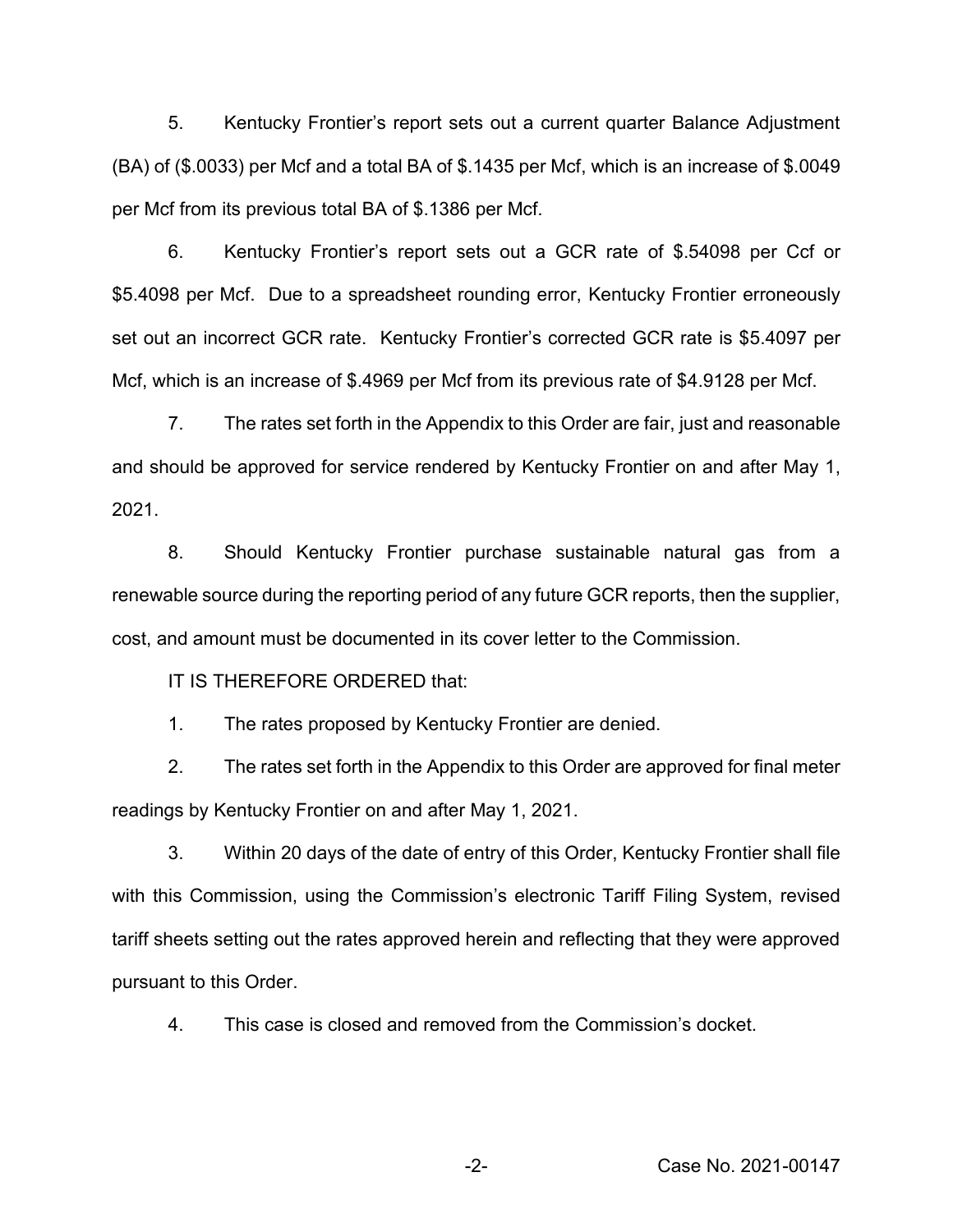5. Kentucky Frontier's report sets out a current quarter Balance Adjustment (BA) of (\$.0033) per Mcf and a total BA of \$.1435 per Mcf, which is an increase of \$.0049 per Mcf from its previous total BA of \$.1386 per Mcf.

6. Kentucky Frontier's report sets out a GCR rate of \$.54098 per Ccf or \$5.4098 per Mcf. Due to a spreadsheet rounding error, Kentucky Frontier erroneously set out an incorrect GCR rate. Kentucky Frontier's corrected GCR rate is \$5.4097 per Mcf, which is an increase of \$.4969 per Mcf from its previous rate of \$4.9128 per Mcf.

7. The rates set forth in the Appendix to this Order are fair, just and reasonable and should be approved for service rendered by Kentucky Frontier on and after May 1, 2021.

8. Should Kentucky Frontier purchase sustainable natural gas from a renewable source during the reporting period of any future GCR reports, then the supplier, cost, and amount must be documented in its cover letter to the Commission.

IT IS THEREFORE ORDERED that:

1. The rates proposed by Kentucky Frontier are denied.

2. The rates set forth in the Appendix to this Order are approved for final meter readings by Kentucky Frontier on and after May 1, 2021.

3. Within 20 days of the date of entry of this Order, Kentucky Frontier shall file with this Commission, using the Commission's electronic Tariff Filing System, revised tariff sheets setting out the rates approved herein and reflecting that they were approved pursuant to this Order.

4. This case is closed and removed from the Commission's docket.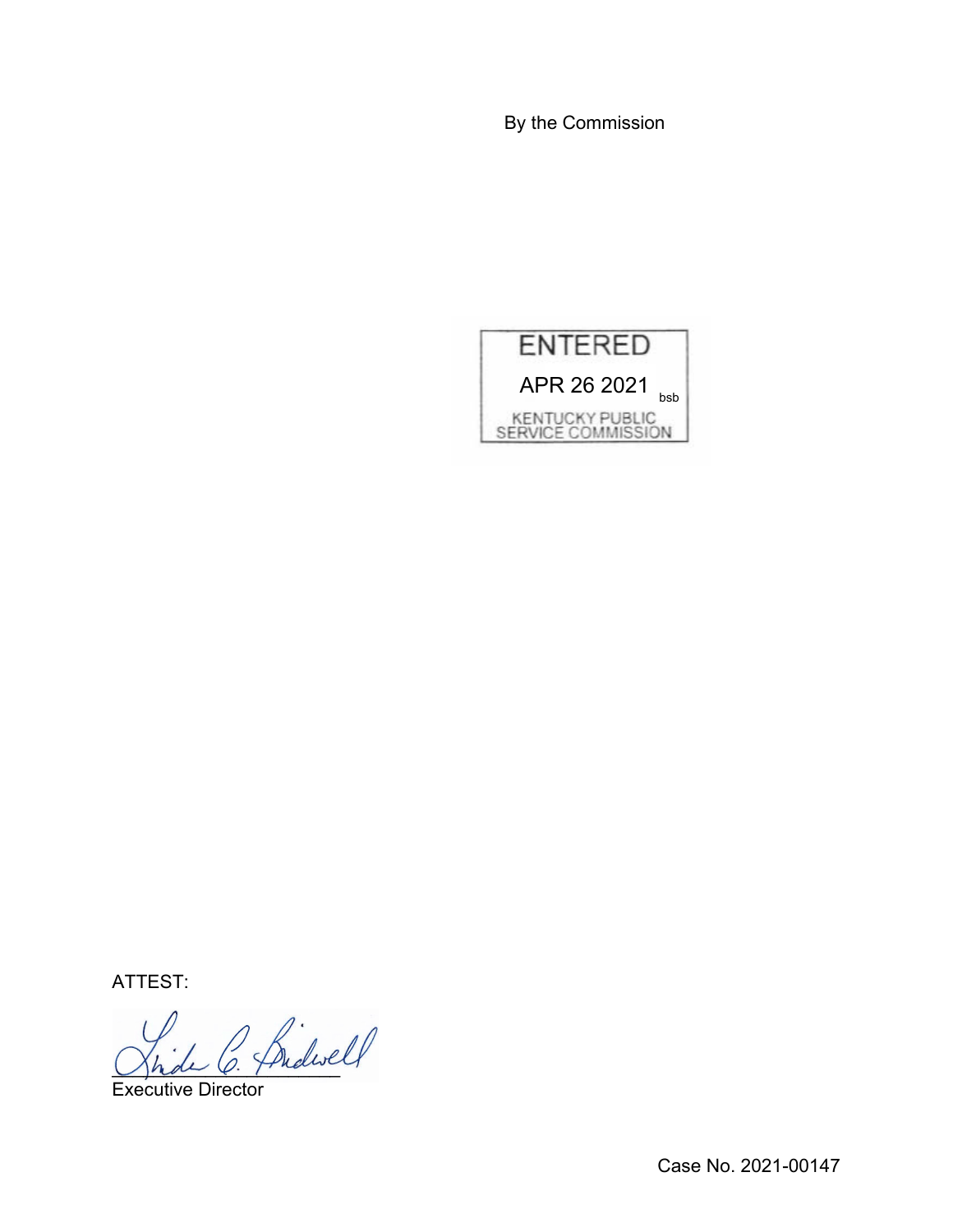By the Commission



ATTEST:

Shde O. Friday

Executive Director

Case No. 2021-00147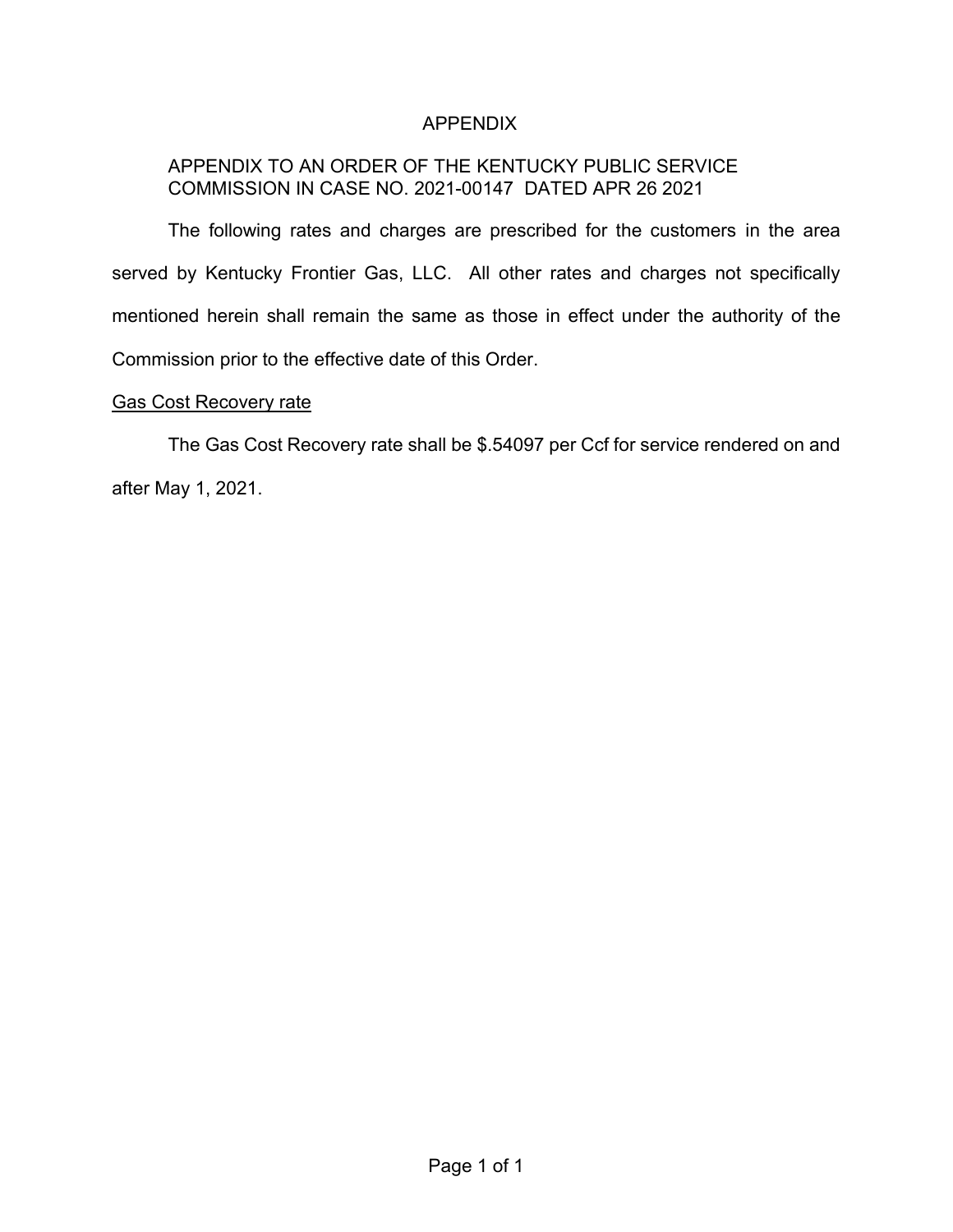# APPENDIX

# APPENDIX TO AN ORDER OF THE KENTUCKY PUBLIC SERVICE COMMISSION IN CASE NO. 2021-00147 DATED APR 26 2021

The following rates and charges are prescribed for the customers in the area served by Kentucky Frontier Gas, LLC. All other rates and charges not specifically mentioned herein shall remain the same as those in effect under the authority of the Commission prior to the effective date of this Order.

#### Gas Cost Recovery rate

The Gas Cost Recovery rate shall be \$.54097 per Ccf for service rendered on and after May 1, 2021.